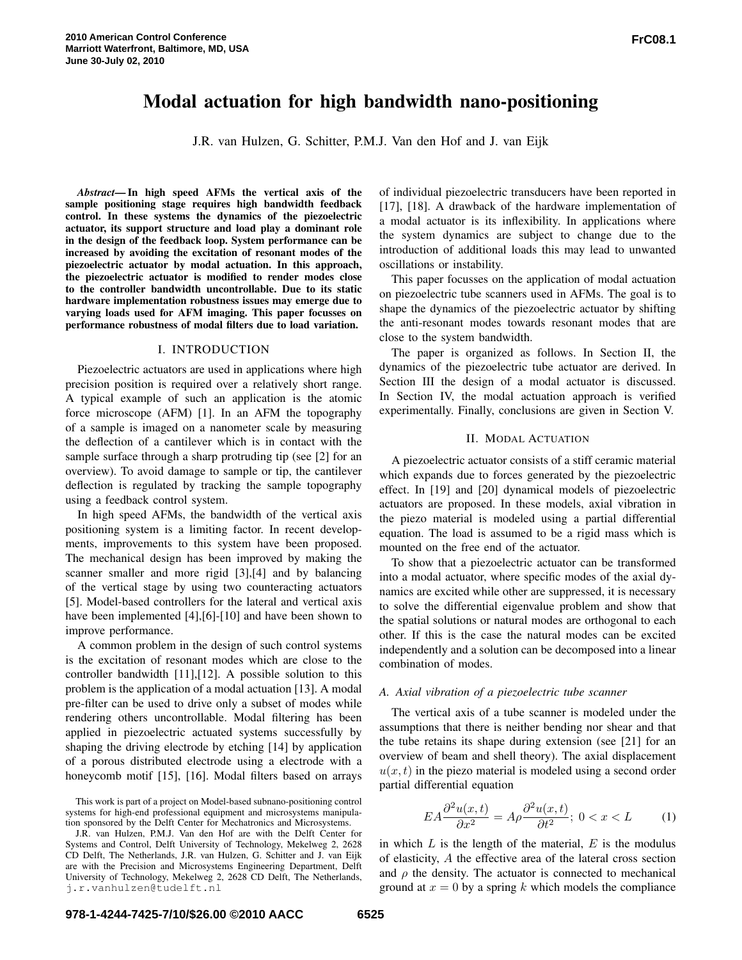# Modal actuation for high bandwidth nano-positioning

J.R. van Hulzen, G. Schitter, P.M.J. Van den Hof and J. van Eijk

*Abstract*— In high speed AFMs the vertical axis of the sample positioning stage requires high bandwidth feedback control. In these systems the dynamics of the piezoelectric actuator, its support structure and load play a dominant role in the design of the feedback loop. System performance can be increased by avoiding the excitation of resonant modes of the piezoelectric actuator by modal actuation. In this approach, the piezoelectric actuator is modified to render modes close to the controller bandwidth uncontrollable. Due to its static hardware implementation robustness issues may emerge due to varying loads used for AFM imaging. This paper focusses on performance robustness of modal filters due to load variation.

# I. INTRODUCTION

Piezoelectric actuators are used in applications where high precision position is required over a relatively short range. A typical example of such an application is the atomic force microscope (AFM) [1]. In an AFM the topography of a sample is imaged on a nanometer scale by measuring the deflection of a cantilever which is in contact with the sample surface through a sharp protruding tip (see [2] for an overview). To avoid damage to sample or tip, the cantilever deflection is regulated by tracking the sample topography using a feedback control system.

In high speed AFMs, the bandwidth of the vertical axis positioning system is a limiting factor. In recent developments, improvements to this system have been proposed. The mechanical design has been improved by making the scanner smaller and more rigid [3],[4] and by balancing of the vertical stage by using two counteracting actuators [5]. Model-based controllers for the lateral and vertical axis have been implemented [4],[6]-[10] and have been shown to improve performance.

A common problem in the design of such control systems is the excitation of resonant modes which are close to the controller bandwidth [11],[12]. A possible solution to this problem is the application of a modal actuation [13]. A modal pre-filter can be used to drive only a subset of modes while rendering others uncontrollable. Modal filtering has been applied in piezoelectric actuated systems successfully by shaping the driving electrode by etching [14] by application of a porous distributed electrode using a electrode with a honeycomb motif [15], [16]. Modal filters based on arrays

This work is part of a project on Model-based subnano-positioning control systems for high-end professional equipment and microsystems manipulation sponsored by the Delft Center for Mechatronics and Microsystems.

J.R. van Hulzen, P.M.J. Van den Hof are with the Delft Center for Systems and Control, Delft University of Technology, Mekelweg 2, 2628 CD Delft, The Netherlands, J.R. van Hulzen, G. Schitter and J. van Eijk are with the Precision and Microsystems Engineering Department, Delft University of Technology, Mekelweg 2, 2628 CD Delft, The Netherlands, j.r.vanhulzen@tudelft.nl

of individual piezoelectric transducers have been reported in [17], [18]. A drawback of the hardware implementation of a modal actuator is its inflexibility. In applications where the system dynamics are subject to change due to the introduction of additional loads this may lead to unwanted oscillations or instability.

This paper focusses on the application of modal actuation on piezoelectric tube scanners used in AFMs. The goal is to shape the dynamics of the piezoelectric actuator by shifting the anti-resonant modes towards resonant modes that are close to the system bandwidth.

The paper is organized as follows. In Section II, the dynamics of the piezoelectric tube actuator are derived. In Section III the design of a modal actuator is discussed. In Section IV, the modal actuation approach is verified experimentally. Finally, conclusions are given in Section V.

# II. MODAL ACTUATION

A piezoelectric actuator consists of a stiff ceramic material which expands due to forces generated by the piezoelectric effect. In [19] and [20] dynamical models of piezoelectric actuators are proposed. In these models, axial vibration in the piezo material is modeled using a partial differential equation. The load is assumed to be a rigid mass which is mounted on the free end of the actuator.

To show that a piezoelectric actuator can be transformed into a modal actuator, where specific modes of the axial dynamics are excited while other are suppressed, it is necessary to solve the differential eigenvalue problem and show that the spatial solutions or natural modes are orthogonal to each other. If this is the case the natural modes can be excited independently and a solution can be decomposed into a linear combination of modes.

#### *A. Axial vibration of a piezoelectric tube scanner*

The vertical axis of a tube scanner is modeled under the assumptions that there is neither bending nor shear and that the tube retains its shape during extension (see [21] for an overview of beam and shell theory). The axial displacement  $u(x, t)$  in the piezo material is modeled using a second order partial differential equation

$$
EA\frac{\partial^2 u(x,t)}{\partial x^2} = A\rho \frac{\partial^2 u(x,t)}{\partial t^2}; \ 0 < x < L \tag{1}
$$

in which  $L$  is the length of the material,  $E$  is the modulus of elasticity, A the effective area of the lateral cross section and  $\rho$  the density. The actuator is connected to mechanical ground at  $x = 0$  by a spring k which models the compliance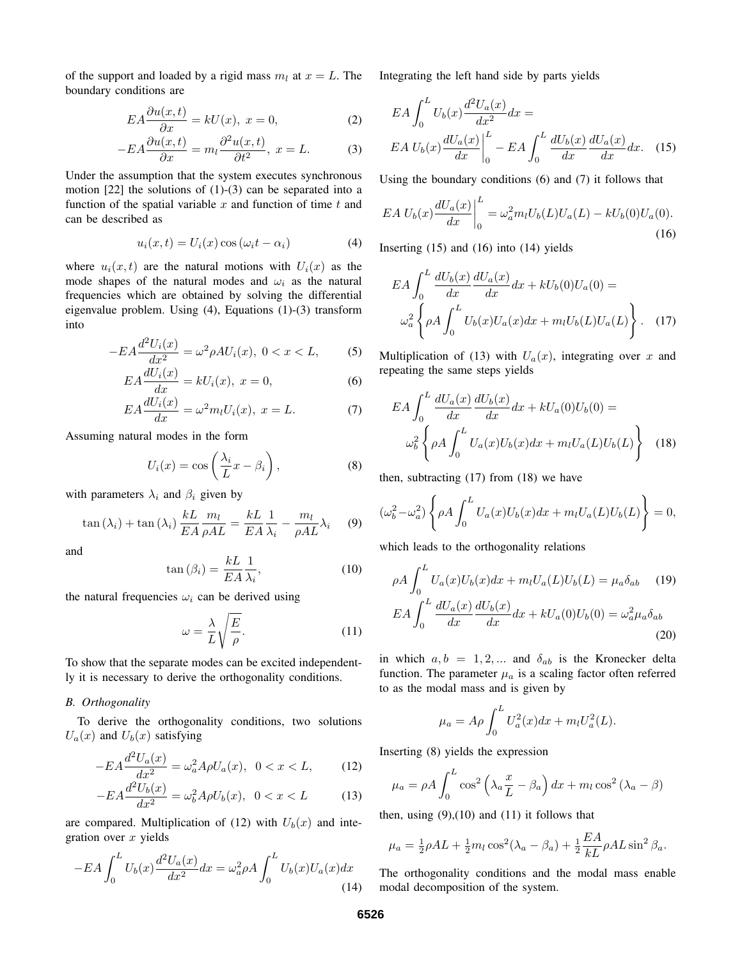of the support and loaded by a rigid mass  $m_l$  at  $x = L$ . The boundary conditions are

$$
EA\frac{\partial u(x,t)}{\partial x} = kU(x), \ x = 0,
$$
 (2)

$$
-EA\frac{\partial u(x,t)}{\partial x} = m_l \frac{\partial^2 u(x,t)}{\partial t^2}, \ x = L. \tag{3}
$$

Under the assumption that the system executes synchronous motion [22] the solutions of (1)-(3) can be separated into a function of the spatial variable  $x$  and function of time  $t$  and can be described as

$$
u_i(x,t) = U_i(x) \cos(\omega_i t - \alpha_i)
$$
 (4)

where  $u_i(x, t)$  are the natural motions with  $U_i(x)$  as the mode shapes of the natural modes and  $\omega_i$  as the natural frequencies which are obtained by solving the differential eigenvalue problem. Using (4), Equations (1)-(3) transform into

$$
-EA\frac{d^2U_i(x)}{dx^2} = \omega^2 \rho A U_i(x), \ 0 < x < L,\tag{5}
$$

$$
EA\frac{dU_i(x)}{dx} = kU_i(x), x = 0,
$$
\n(6)

$$
EA\frac{dU_i(x)}{dx} = \omega^2 m_l U_i(x), \ x = L. \tag{7}
$$

Assuming natural modes in the form

$$
U_i(x) = \cos\left(\frac{\lambda_i}{L}x - \beta_i\right),\tag{8}
$$

with parameters  $\lambda_i$  and  $\beta_i$  given by

$$
\tan(\lambda_i) + \tan(\lambda_i) \frac{kL}{EA} \frac{m_l}{\rho AL} = \frac{kL}{EA} \frac{1}{\lambda_i} - \frac{m_l}{\rho AL} \lambda_i \tag{9}
$$

and

$$
\tan\left(\beta_i\right) = \frac{k}{EA} \frac{1}{\lambda_i},\tag{10}
$$

the natural frequencies  $\omega_i$  can be derived using

$$
\omega = \frac{\lambda}{L} \sqrt{\frac{E}{\rho}}.\tag{11}
$$

To show that the separate modes can be excited independently it is necessary to derive the orthogonality conditions.

## *B. Orthogonality*

To derive the orthogonality conditions, two solutions  $U_a(x)$  and  $U_b(x)$  satisfying

$$
-EA\frac{d^2U_a(x)}{dx^2} = \omega_a^2 A \rho U_a(x), \ \ 0 < x < L,\tag{12}
$$

$$
-EA\frac{d^2U_b(x)}{dx^2} = \omega_b^2 A \rho U_b(x), \ \ 0 < x < L \tag{13}
$$

are compared. Multiplication of (12) with  $U_b(x)$  and integration over  $x$  yields

$$
-EA \int_0^L U_b(x) \frac{d^2 U_a(x)}{dx^2} dx = \omega_a^2 \rho A \int_0^L U_b(x) U_a(x) dx
$$
\n(14)

Integrating the left hand side by parts yields

$$
EA \int_0^L U_b(x) \frac{d^2 U_a(x)}{dx^2} dx =
$$
  
\n
$$
EA U_b(x) \frac{dU_a(x)}{dx} \Big|_0^L - EA \int_0^L \frac{dU_b(x)}{dx} \frac{dU_a(x)}{dx} dx.
$$
 (15)

Using the boundary conditions (6) and (7) it follows that

$$
EA U_b(x) \frac{dU_a(x)}{dx} \bigg|_0^L = \omega_a^2 m_l U_b(L) U_a(L) - k U_b(0) U_a(0).
$$
\n(16)

Inserting (15) and (16) into (14) yields

$$
EA \int_0^L \frac{dU_b(x)}{dx} \frac{dU_a(x)}{dx} dx + kU_b(0)U_a(0) =
$$
  

$$
\omega_a^2 \left\{ \rho A \int_0^L U_b(x)U_a(x) dx + m_l U_b(L)U_a(L) \right\}.
$$
 (17)

Multiplication of (13) with  $U_a(x)$ , integrating over x and repeating the same steps yields

$$
EA \int_0^L \frac{dU_a(x)}{dx} \frac{dU_b(x)}{dx} dx + kU_a(0)U_b(0) =
$$
  

$$
\omega_b^2 \left\{ \rho A \int_0^L U_a(x)U_b(x) dx + m_l U_a(L)U_b(L) \right\}
$$
 (18)

then, subtracting (17) from (18) we have

$$
(\omega_b^2 - \omega_a^2) \left\{ \rho A \int_0^L U_a(x) U_b(x) dx + m_l U_a(L) U_b(L) \right\} = 0,
$$

which leads to the orthogonality relations

$$
\rho A \int_0^L U_a(x) U_b(x) dx + m_l U_a(L) U_b(L) = \mu_a \delta_{ab} \quad (19)
$$
  
\n
$$
EA \int_0^L \frac{dU_a(x)}{dx} \frac{dU_b(x)}{dx} dx + k U_a(0) U_b(0) = \omega_a^2 \mu_a \delta_{ab} \quad (20)
$$

in which  $a, b = 1, 2, ...$  and  $\delta_{ab}$  is the Kronecker delta function. The parameter  $\mu_a$  is a scaling factor often referred to as the modal mass and is given by

$$
\mu_a = A\rho \int_0^L U_a^2(x)dx + m_l U_a^2(L).
$$

Inserting (8) yields the expression

$$
\mu_a = \rho A \int_0^L \cos^2 \left( \lambda_a \frac{x}{L} - \beta_a \right) dx + m_l \cos^2 \left( \lambda_a - \beta \right)
$$

then, using  $(9)$ , $(10)$  and  $(11)$  it follows that

$$
\mu_a = \frac{1}{2}\rho A L + \frac{1}{2}m_l \cos^2(\lambda_a - \beta_a) + \frac{1}{2}\frac{EA}{kL}\rho A L \sin^2\beta_a.
$$

The orthogonality conditions and the modal mass enable modal decomposition of the system.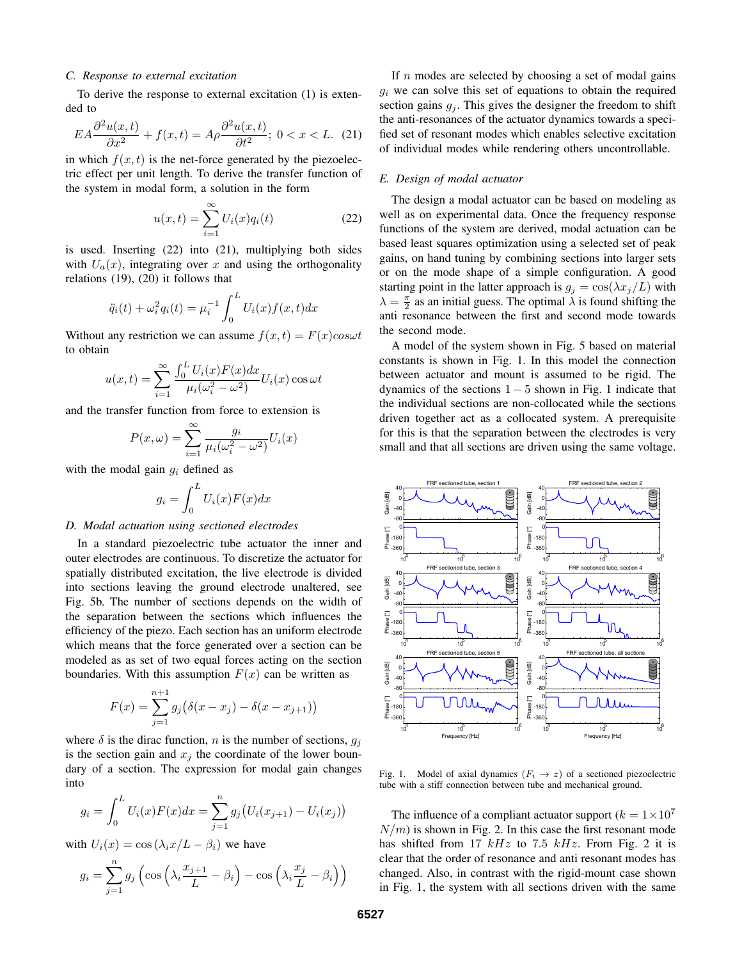#### *C. Response to external excitation*

To derive the response to external excitation (1) is extended to

$$
EA\frac{\partial^2 u(x,t)}{\partial x^2} + f(x,t) = A\rho \frac{\partial^2 u(x,t)}{\partial t^2}; \ 0 < x < L. \tag{21}
$$

in which  $f(x, t)$  is the net-force generated by the piezoelectric effect per unit length. To derive the transfer function of the system in modal form, a solution in the form

$$
u(x,t) = \sum_{i=1}^{\infty} U_i(x)q_i(t)
$$
 (22)

is used. Inserting (22) into (21), multiplying both sides with  $U_a(x)$ , integrating over x and using the orthogonality relations (19), (20) it follows that

$$
\ddot{q}_i(t) + \omega_i^2 q_i(t) = \mu_i^{-1} \int_0^L U_i(x) f(x, t) dx
$$

Without any restriction we can assume  $f(x, t) = F(x)cos\omega t$ to obtain

$$
u(x,t) = \sum_{i=1}^{\infty} \frac{\int_0^L U_i(x) F(x) dx}{\mu_i(\omega_i^2 - \omega^2)} U_i(x) \cos \omega t
$$

and the transfer function from force to extension is

$$
P(x,\omega) = \sum_{i=1}^{\infty} \frac{g_i}{\mu_i(\omega_i^2 - \omega^2)} U_i(x)
$$

with the modal gain  $g_i$  defined as

$$
g_i = \int_0^L U_i(x) F(x) dx
$$

# *D. Modal actuation using sectioned electrodes*

In a standard piezoelectric tube actuator the inner and outer electrodes are continuous. To discretize the actuator for spatially distributed excitation, the live electrode is divided into sections leaving the ground electrode unaltered, see Fig. 5b. The number of sections depends on the width of the separation between the sections which influences the efficiency of the piezo. Each section has an uniform electrode which means that the force generated over a section can be modeled as as set of two equal forces acting on the section boundaries. With this assumption  $F(x)$  can be written as

$$
F(x) = \sum_{j=1}^{n+1} g_j (\delta(x - x_j) - \delta(x - x_{j+1}))
$$

where  $\delta$  is the dirac function, n is the number of sections,  $g_j$ is the section gain and  $x_i$  the coordinate of the lower boundary of a section. The expression for modal gain changes into

$$
g_i = \int_0^L U_i(x)F(x)dx = \sum_{j=1}^n g_j(U_i(x_{j+1}) - U_i(x_j))
$$

with  $U_i(x) = \cos(\lambda_i x/L - \beta_i)$  we have

$$
g_i = \sum_{j=1}^n g_j \left( \cos \left( \lambda_i \frac{x_{j+1}}{L} - \beta_i \right) - \cos \left( \lambda_i \frac{x_j}{L} - \beta_i \right) \right)
$$

If  $n$  modes are selected by choosing a set of modal gains  $g_i$  we can solve this set of equations to obtain the required section gains  $g_j$ . This gives the designer the freedom to shift the anti-resonances of the actuator dynamics towards a specified set of resonant modes which enables selective excitation of individual modes while rendering others uncontrollable.

#### *E. Design of modal actuator*

The design a modal actuator can be based on modeling as well as on experimental data. Once the frequency response functions of the system are derived, modal actuation can be based least squares optimization using a selected set of peak gains, on hand tuning by combining sections into larger sets or on the mode shape of a simple configuration. A good starting point in the latter approach is  $g_i = \cos(\lambda x_i/L)$  with  $\lambda = \frac{\pi}{2}$  as an initial guess. The optimal  $\lambda$  is found shifting the anti resonance between the first and second mode towards the second mode.

A model of the system shown in Fig. 5 based on material constants is shown in Fig. 1. In this model the connection between actuator and mount is assumed to be rigid. The dynamics of the sections  $1 - 5$  shown in Fig. 1 indicate that the individual sections are non-collocated while the sections driven together act as a collocated system. A prerequisite for this is that the separation between the electrodes is very small and that all sections are driven using the same voltage.



Fig. 1. Model of axial dynamics  $(F_i \rightarrow z)$  of a sectioned piezoelectric tube with a stiff connection between tube and mechanical ground.

The influence of a compliant actuator support  $(k = 1 \times 10^7)$  $N/m$ ) is shown in Fig. 2. In this case the first resonant mode has shifted from 17  $kHz$  to 7.5  $kHz$ . From Fig. 2 it is clear that the order of resonance and anti resonant modes has changed. Also, in contrast with the rigid-mount case shown in Fig. 1, the system with all sections driven with the same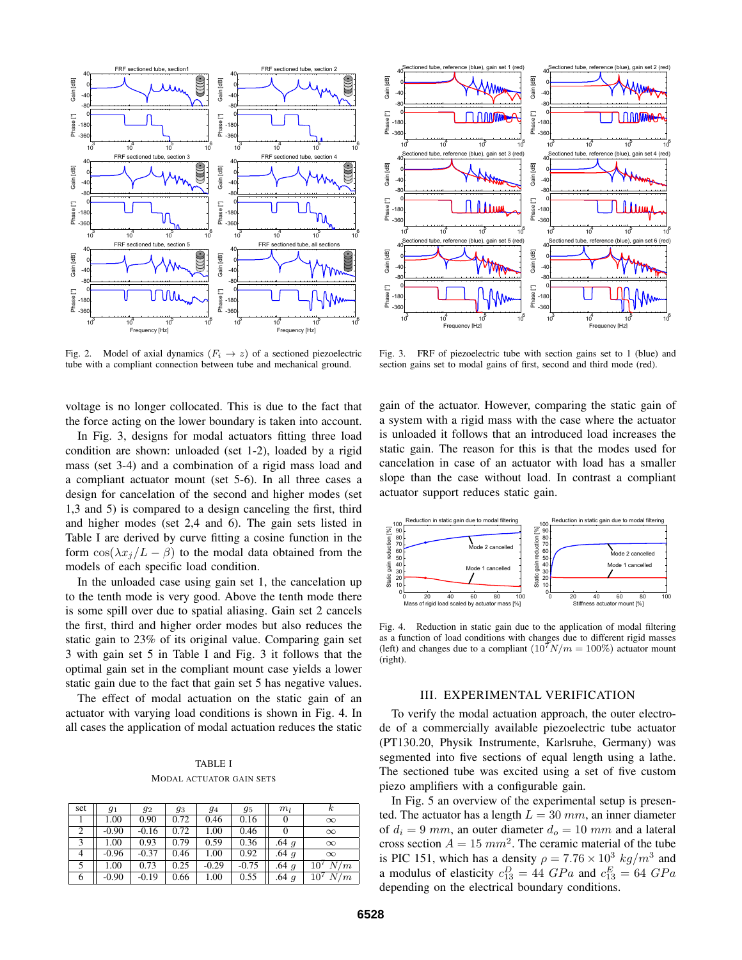

Fig. 2. Model of axial dynamics  $(F_i \rightarrow z)$  of a sectioned piezoelectric tube with a compliant connection between tube and mechanical ground.

voltage is no longer collocated. This is due to the fact that the force acting on the lower boundary is taken into account.

In Fig. 3, designs for modal actuators fitting three load condition are shown: unloaded (set 1-2), loaded by a rigid mass (set 3-4) and a combination of a rigid mass load and a compliant actuator mount (set 5-6). In all three cases a design for cancelation of the second and higher modes (set 1,3 and 5) is compared to a design canceling the first, third and higher modes (set 2,4 and 6). The gain sets listed in Table I are derived by curve fitting a cosine function in the form  $\cos(\lambda x_j/L - \beta)$  to the modal data obtained from the models of each specific load condition.

In the unloaded case using gain set 1, the cancelation up to the tenth mode is very good. Above the tenth mode there is some spill over due to spatial aliasing. Gain set 2 cancels the first, third and higher order modes but also reduces the static gain to 23% of its original value. Comparing gain set 3 with gain set 5 in Table I and Fig. 3 it follows that the optimal gain set in the compliant mount case yields a lower static gain due to the fact that gain set 5 has negative values.

The effect of modal actuation on the static gain of an actuator with varying load conditions is shown in Fig. 4. In all cases the application of modal actuation reduces the static

TABLE I MODAL ACTUATOR GAIN SETS

| set | 91      | 92      | 93   | 94      | 95      | $m_l$    | $_{k}$                 |
|-----|---------|---------|------|---------|---------|----------|------------------------|
|     | 1.00    | 0.90    | 0.72 | 0.46    | 0.16    | 0        | $\infty$               |
| 2   | $-0.90$ | $-0.16$ | 0.72 | 1.00    | 0.46    |          | $\infty$               |
| 3   | 1.00    | 0.93    | 0.79 | 0.59    | 0.36    | $.64\ q$ | $\infty$               |
| 4   | $-0.96$ | $-0.37$ | 0.46 | 1.00    | 0.92    | $.64\ q$ | $\infty$               |
|     | 1.00    | 0.73    | 0.25 | $-0.29$ | $-0.75$ | $.64\ g$ | N/m<br>10 <sup>7</sup> |
| 6   | $-0.90$ | $-0.19$ | 0.66 | 1.00    | 0.55    | $.64\ g$ | N/m<br>10 <sup>7</sup> |



Fig. 3. FRF of piezoelectric tube with section gains set to 1 (blue) and section gains set to modal gains of first, second and third mode (red).

gain of the actuator. However, comparing the static gain of a system with a rigid mass with the case where the actuator is unloaded it follows that an introduced load increases the static gain. The reason for this is that the modes used for cancelation in case of an actuator with load has a smaller slope than the case without load. In contrast a compliant actuator support reduces static gain.



Fig. 4. Reduction in static gain due to the application of modal filtering as a function of load conditions with changes due to different rigid masses (left) and changes due to a compliant  $(10^7 N/m = 100\%)$  actuator mount (right).

#### III. EXPERIMENTAL VERIFICATION

To verify the modal actuation approach, the outer electrode of a commercially available piezoelectric tube actuator (PT130.20, Physik Instrumente, Karlsruhe, Germany) was segmented into five sections of equal length using a lathe. The sectioned tube was excited using a set of five custom piezo amplifiers with a configurable gain.

In Fig. 5 an overview of the experimental setup is presented. The actuator has a length  $L = 30$  mm, an inner diameter of  $d_i = 9$  mm, an outer diameter  $d_o = 10$  mm and a lateral cross section  $A = 15$   $mm^2$ . The ceramic material of the tube is PIC 151, which has a density  $\rho = 7.76 \times 10^3 \ kg/m^3$  and a modulus of elasticity  $c_{13}^D = 44 \text{ } GPa$  and  $c_{13}^E = 64 \text{ } GPa$ depending on the electrical boundary conditions.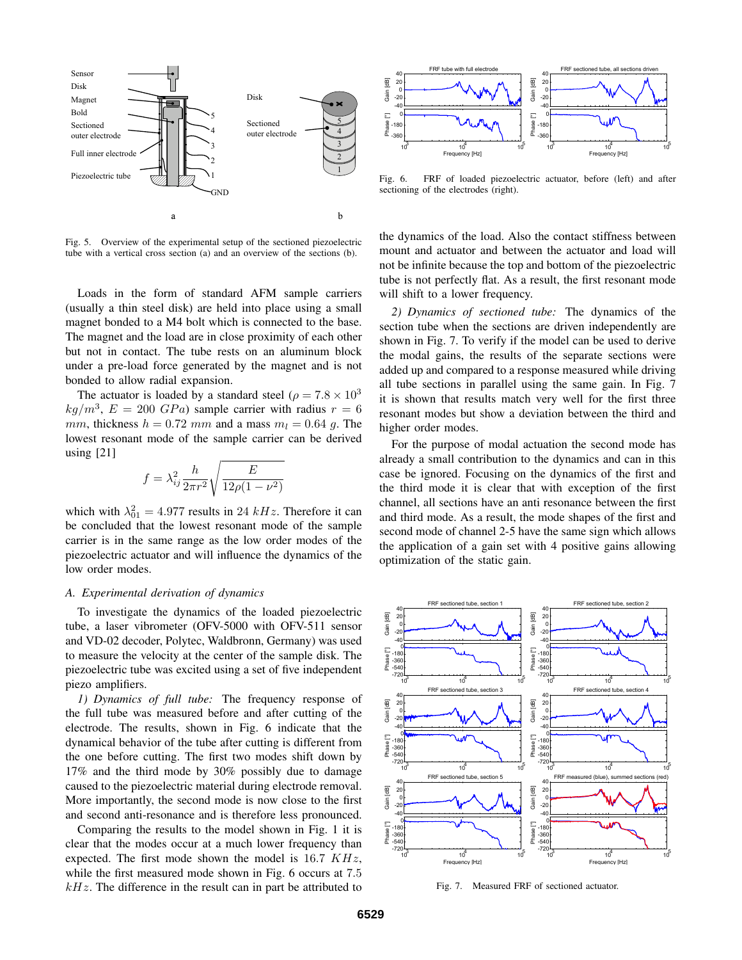

Fig. 5. Overview of the experimental setup of the sectioned piezoelectric tube with a vertical cross section (a) and an overview of the sections (b).

Loads in the form of standard AFM sample carriers (usually a thin steel disk) are held into place using a small magnet bonded to a M4 bolt which is connected to the base. The magnet and the load are in close proximity of each other but not in contact. The tube rests on an aluminum block under a pre-load force generated by the magnet and is not bonded to allow radial expansion.

The actuator is loaded by a standard steel ( $\rho = 7.8 \times 10^3$ )  $kg/m^3$ ,  $E = 200$   $GPa$ ) sample carrier with radius  $r = 6$ mm, thickness  $h = 0.72$  mm and a mass  $m_l = 0.64$  g. The lowest resonant mode of the sample carrier can be derived using [21]

$$
f = \lambda_{ij}^2 \frac{h}{2\pi r^2} \sqrt{\frac{E}{12\rho(1 - \nu^2)}}
$$

which with  $\lambda_{01}^2 = 4.977$  results in 24 kHz. Therefore it can be concluded that the lowest resonant mode of the sample carrier is in the same range as the low order modes of the piezoelectric actuator and will influence the dynamics of the low order modes.

#### *A. Experimental derivation of dynamics*

To investigate the dynamics of the loaded piezoelectric tube, a laser vibrometer (OFV-5000 with OFV-511 sensor and VD-02 decoder, Polytec, Waldbronn, Germany) was used to measure the velocity at the center of the sample disk. The piezoelectric tube was excited using a set of five independent piezo amplifiers.

*1) Dynamics of full tube:* The frequency response of the full tube was measured before and after cutting of the electrode. The results, shown in Fig. 6 indicate that the dynamical behavior of the tube after cutting is different from the one before cutting. The first two modes shift down by 17% and the third mode by 30% possibly due to damage caused to the piezoelectric material during electrode removal. More importantly, the second mode is now close to the first and second anti-resonance and is therefore less pronounced.

Comparing the results to the model shown in Fig. 1 it is clear that the modes occur at a much lower frequency than expected. The first mode shown the model is  $16.7$   $KHz$ , while the first measured mode shown in Fig. 6 occurs at 7.5  $kHz$ . The difference in the result can in part be attributed to



Fig. 6. FRF of loaded piezoelectric actuator, before (left) and after sectioning of the electrodes (right).

the dynamics of the load. Also the contact stiffness between mount and actuator and between the actuator and load will not be infinite because the top and bottom of the piezoelectric tube is not perfectly flat. As a result, the first resonant mode will shift to a lower frequency.

*2) Dynamics of sectioned tube:* The dynamics of the section tube when the sections are driven independently are shown in Fig. 7. To verify if the model can be used to derive the modal gains, the results of the separate sections were added up and compared to a response measured while driving all tube sections in parallel using the same gain. In Fig. 7 it is shown that results match very well for the first three resonant modes but show a deviation between the third and higher order modes.

For the purpose of modal actuation the second mode has already a small contribution to the dynamics and can in this case be ignored. Focusing on the dynamics of the first and the third mode it is clear that with exception of the first channel, all sections have an anti resonance between the first and third mode. As a result, the mode shapes of the first and second mode of channel 2-5 have the same sign which allows the application of a gain set with 4 positive gains allowing optimization of the static gain.



Fig. 7. Measured FRF of sectioned actuator.